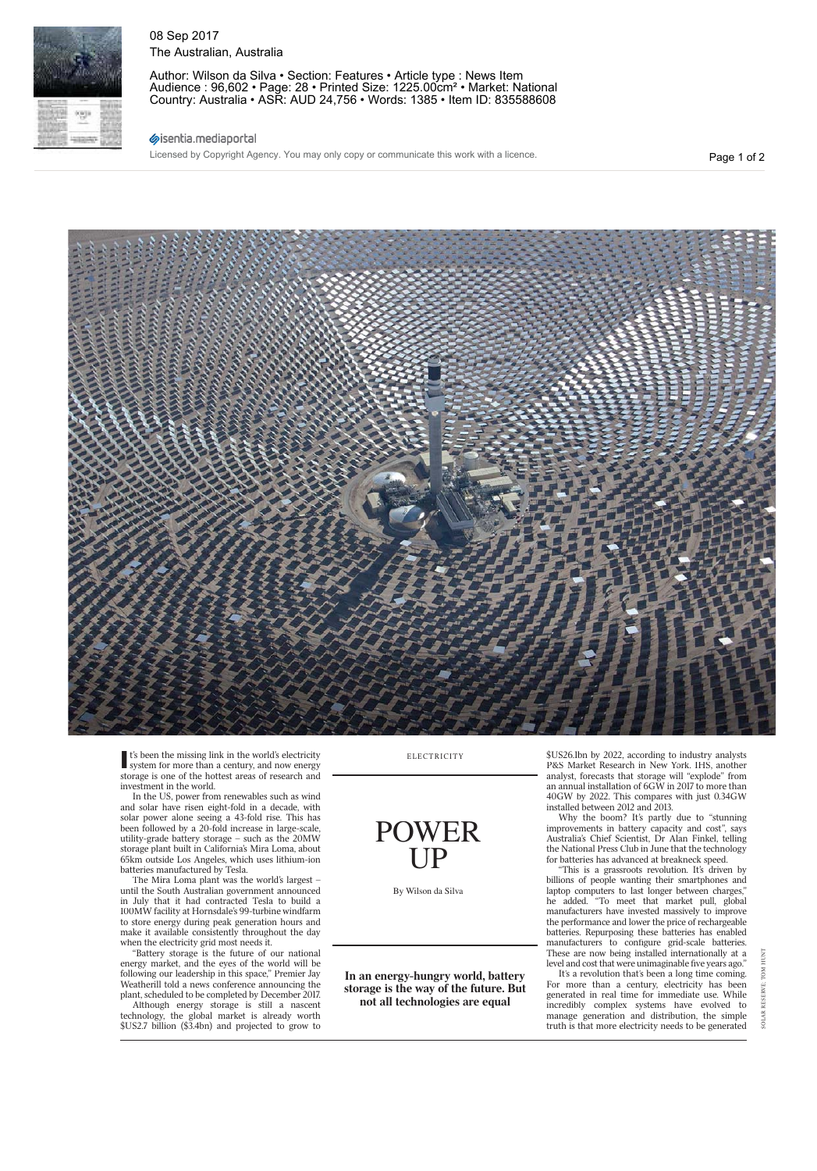

It's been the missing link in the world's electricity<br>system for more than a century, and now energy storage is one of the hottest areas of research and investment in the world.

In the US, power from renewables such as wind and solar have risen eight-fold in a decade, with solar power alone seeing a 43-fold rise. This has been followed by a 20-fold increase in large-scale, utility-grade battery storage – such as the 20MW storage plant built in California's Mira Loma, about 65km outside Los Angeles, which uses lithium-ion batteries manufactured by Tesla.

The Mira Loma plant was the world's largest – until the South Australian government announced in July that it had contracted Tesla to build a 100MW facility at Hornsdale's 99-turbine windfarm to store energy during peak generation hours and make it available consistently throughout the day when the electricity grid most needs it.

"Battery storage is the future of our national energy market, and the eyes of the world will be following our leadership in this space," Premier Jay Weatherill told a news conference announcing the plant, scheduled to be completed by December 2017.

Although energy storage is still a nascent technology, the global market is already worth \$US2.7 billion (\$3.4bn) and projected to grow to **ELECTRICITY** 

POWER UP

By Wilson da Silva

**In an energy-hungry world, battery storage is the way of the future. But not all technologies are equal**

\$US26.1bn by 2022, according to industry analysts P&S Market Research in New York. IHS, another analyst, forecasts that storage will "explode" from an annual installation of 6GW in 2017 to more than 40GW by 2022. This compares with just 0.34GW installed between 2012 and 2013.

Why the boom? It's partly due to "stunning improvements in battery capacity and cost", says Australia's Chief Scientist, Dr Alan Finkel, telling the National Press Club in June that the technology for batteries has advanced at breakneck speed.

This is a grassroots revolution. It's driven by billions of people wanting their smartphones and laptop computers to last longer between charges," he added. "To meet that market pull, global manufacturers have invested massively to improve the performance and lower the price of rechargeable batteries. Repurposing these batteries has enabled manufacturers to configure grid-scale batteries. These are now being installed internationally at a level and cost that were unimaginable five years ago."

It's a revolution that's been a long time coming. For more than a century, electricity has been generated in real time for immediate use. While incredibly complex systems have evolved to manage generation and distribution, the simple truth is that more electricity needs to be generated